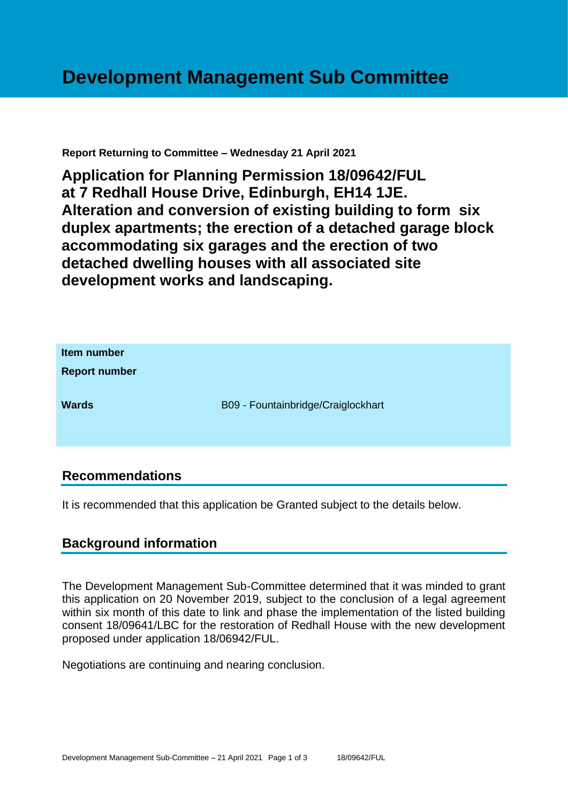#### **Report Returning to Committee – Wednesday 21 April 2021**

**Application for Planning Permission 18/09642/FUL at 7 Redhall House Drive, Edinburgh, EH14 1JE. Alteration and conversion of existing building to form six duplex apartments; the erection of a detached garage block accommodating six garages and the erection of two detached dwelling houses with all associated site development works and landscaping.**



### **Recommendations**

It is recommended that this application be Granted subject to the details below.

# **Background information**

The Development Management Sub-Committee determined that it was minded to grant this application on 20 November 2019, subject to the conclusion of a legal agreement within six month of this date to link and phase the implementation of the listed building consent 18/09641/LBC for the restoration of Redhall House with the new development proposed under application 18/06942/FUL.

Negotiations are continuing and nearing conclusion.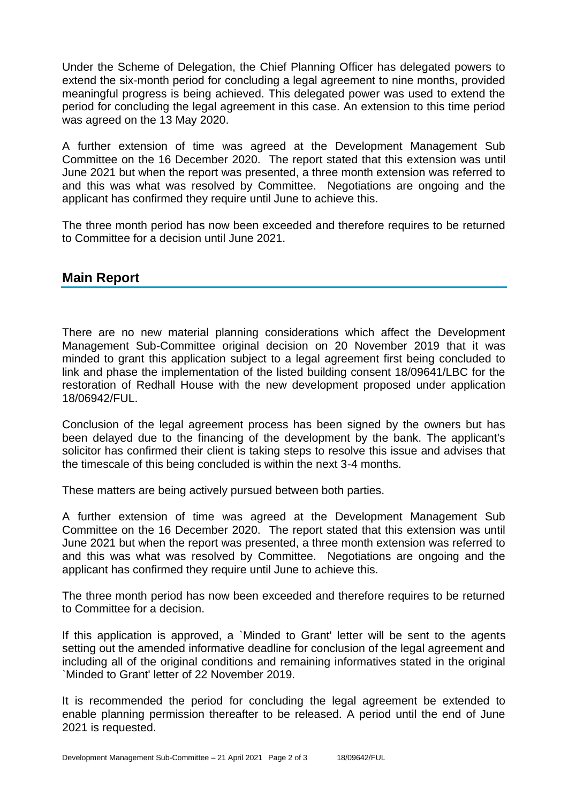Under the Scheme of Delegation, the Chief Planning Officer has delegated powers to extend the six-month period for concluding a legal agreement to nine months, provided meaningful progress is being achieved. This delegated power was used to extend the period for concluding the legal agreement in this case. An extension to this time period was agreed on the 13 May 2020.

A further extension of time was agreed at the Development Management Sub Committee on the 16 December 2020. The report stated that this extension was until June 2021 but when the report was presented, a three month extension was referred to and this was what was resolved by Committee. Negotiations are ongoing and the applicant has confirmed they require until June to achieve this.

The three month period has now been exceeded and therefore requires to be returned to Committee for a decision until June 2021.

# **Main Report**

There are no new material planning considerations which affect the Development Management Sub-Committee original decision on 20 November 2019 that it was minded to grant this application subject to a legal agreement first being concluded to link and phase the implementation of the listed building consent 18/09641/LBC for the restoration of Redhall House with the new development proposed under application 18/06942/FUL.

Conclusion of the legal agreement process has been signed by the owners but has been delayed due to the financing of the development by the bank. The applicant's solicitor has confirmed their client is taking steps to resolve this issue and advises that the timescale of this being concluded is within the next 3-4 months.

These matters are being actively pursued between both parties.

A further extension of time was agreed at the Development Management Sub Committee on the 16 December 2020. The report stated that this extension was until June 2021 but when the report was presented, a three month extension was referred to and this was what was resolved by Committee. Negotiations are ongoing and the applicant has confirmed they require until June to achieve this.

The three month period has now been exceeded and therefore requires to be returned to Committee for a decision.

If this application is approved, a `Minded to Grant' letter will be sent to the agents setting out the amended informative deadline for conclusion of the legal agreement and including all of the original conditions and remaining informatives stated in the original `Minded to Grant' letter of 22 November 2019.

It is recommended the period for concluding the legal agreement be extended to enable planning permission thereafter to be released. A period until the end of June 2021 is requested.